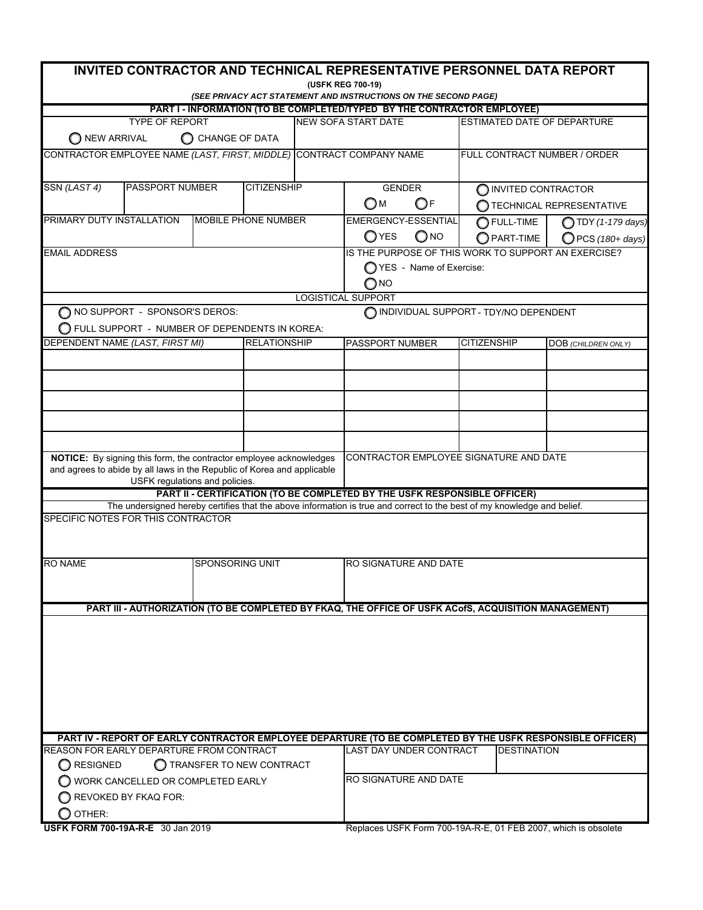| <b>INVITED CONTRACTOR AND TECHNICAL REPRESENTATIVE PERSONNEL DATA REPORT</b>                         |                                       |  |                     |                                       |                                                                                                                         |                              |                          |  |
|------------------------------------------------------------------------------------------------------|---------------------------------------|--|---------------------|---------------------------------------|-------------------------------------------------------------------------------------------------------------------------|------------------------------|--------------------------|--|
| (USFK REG 700-19)<br>(SEE PRIVACY ACT STATEMENT AND INSTRUCTIONS ON THE SECOND PAGE)                 |                                       |  |                     |                                       |                                                                                                                         |                              |                          |  |
| PART I - INFORMATION (TO BE COMPLETED/TYPED BY THE CONTRACTOR EMPLOYEE)                              |                                       |  |                     |                                       |                                                                                                                         |                              |                          |  |
| <b>ESTIMATED DATE OF DEPARTURE</b><br><b>TYPE OF REPORT</b><br><b>NEW SOFA START DATE</b>            |                                       |  |                     |                                       |                                                                                                                         |                              |                          |  |
| C CHANGE OF DATA<br>O NEW ARRIVAL                                                                    |                                       |  |                     |                                       |                                                                                                                         |                              |                          |  |
| CONTRACTOR EMPLOYEE NAME (LAST, FIRST, MIDDLE) CONTRACT COMPANY NAME                                 |                                       |  |                     |                                       |                                                                                                                         | FULL CONTRACT NUMBER / ORDER |                          |  |
|                                                                                                      |                                       |  |                     |                                       |                                                                                                                         |                              |                          |  |
| SSN (LAST 4)                                                                                         | PASSPORT NUMBER<br><b>CITIZENSHIP</b> |  |                     | <b>GENDER</b><br>O INVITED CONTRACTOR |                                                                                                                         |                              |                          |  |
|                                                                                                      |                                       |  |                     |                                       | OF<br>Ом                                                                                                                |                              | TECHNICAL REPRESENTATIVE |  |
| PRIMARY DUTY INSTALLATION                                                                            |                                       |  | MOBILE PHONE NUMBER |                                       | EMERGENCY-ESSENTIAL                                                                                                     | $\bigcirc$ Full-time         | <b>TDY</b> (1-179 days)  |  |
|                                                                                                      |                                       |  |                     |                                       | $\bigcirc$ YES<br>$\bigcirc$ NO                                                                                         | $\bigcirc$ part-time         | $Q$ PCS (180+ days)      |  |
| <b>EMAIL ADDRESS</b>                                                                                 |                                       |  |                     |                                       | IS THE PURPOSE OF THIS WORK TO SUPPORT AN EXERCISE?                                                                     |                              |                          |  |
|                                                                                                      |                                       |  |                     |                                       | ◯ YES - Name of Exercise:                                                                                               |                              |                          |  |
|                                                                                                      |                                       |  |                     |                                       | O NO                                                                                                                    |                              |                          |  |
| <b>LOGISTICAL SUPPORT</b><br>NO SUPPORT - SPONSOR'S DEROS:<br>INDIVIDUAL SUPPORT - TDY/NO DEPENDENT  |                                       |  |                     |                                       |                                                                                                                         |                              |                          |  |
| O FULL SUPPORT - NUMBER OF DEPENDENTS IN KOREA:                                                      |                                       |  |                     |                                       |                                                                                                                         |                              |                          |  |
| DEPENDENT NAME (LAST, FIRST MI)                                                                      |                                       |  | <b>RELATIONSHIP</b> |                                       | PASSPORT NUMBER                                                                                                         | <b>CITIZENSHIP</b>           | DOB (CHILDREN ONLY)      |  |
|                                                                                                      |                                       |  |                     |                                       |                                                                                                                         |                              |                          |  |
|                                                                                                      |                                       |  |                     |                                       |                                                                                                                         |                              |                          |  |
|                                                                                                      |                                       |  |                     |                                       |                                                                                                                         |                              |                          |  |
|                                                                                                      |                                       |  |                     |                                       |                                                                                                                         |                              |                          |  |
|                                                                                                      |                                       |  |                     |                                       |                                                                                                                         |                              |                          |  |
|                                                                                                      |                                       |  |                     |                                       |                                                                                                                         |                              |                          |  |
| NOTICE: By signing this form, the contractor employee acknowledges                                   |                                       |  |                     |                                       | CONTRACTOR EMPLOYEE SIGNATURE AND DATE                                                                                  |                              |                          |  |
| and agrees to abide by all laws in the Republic of Korea and applicable                              |                                       |  |                     |                                       |                                                                                                                         |                              |                          |  |
|                                                                                                      | USFK regulations and policies.        |  |                     |                                       | PART II - CERTIFICATION (TO BE COMPLETED BY THE USFK RESPONSIBLE OFFICER)                                               |                              |                          |  |
|                                                                                                      |                                       |  |                     |                                       | The undersigned hereby certifies that the above information is true and correct to the best of my knowledge and belief. |                              |                          |  |
| SPECIFIC NOTES FOR THIS CONTRACTOR                                                                   |                                       |  |                     |                                       |                                                                                                                         |                              |                          |  |
|                                                                                                      |                                       |  |                     |                                       |                                                                                                                         |                              |                          |  |
|                                                                                                      |                                       |  |                     |                                       |                                                                                                                         |                              |                          |  |
| <b>RO NAME</b>                                                                                       | <b>SPONSORING UNIT</b>                |  |                     | RO SIGNATURE AND DATE                 |                                                                                                                         |                              |                          |  |
|                                                                                                      |                                       |  |                     |                                       |                                                                                                                         |                              |                          |  |
|                                                                                                      |                                       |  |                     |                                       |                                                                                                                         |                              |                          |  |
| PART III - AUTHORIZATION (TO BE COMPLETED BY FKAQ, THE OFFICE OF USFK ACOfS, ACQUISITION MANAGEMENT) |                                       |  |                     |                                       |                                                                                                                         |                              |                          |  |
|                                                                                                      |                                       |  |                     |                                       |                                                                                                                         |                              |                          |  |
|                                                                                                      |                                       |  |                     |                                       |                                                                                                                         |                              |                          |  |
|                                                                                                      |                                       |  |                     |                                       |                                                                                                                         |                              |                          |  |
|                                                                                                      |                                       |  |                     |                                       |                                                                                                                         |                              |                          |  |
|                                                                                                      |                                       |  |                     |                                       |                                                                                                                         |                              |                          |  |
|                                                                                                      |                                       |  |                     |                                       |                                                                                                                         |                              |                          |  |
|                                                                                                      |                                       |  |                     |                                       | PART IV - REPORT OF EARLY CONTRACTOR EMPLOYEE DEPARTURE (TO BE COMPLETED BY THE USFK RESPONSIBLE OFFICER)               |                              |                          |  |
| REASON FOR EARLY DEPARTURE FROM CONTRACT                                                             |                                       |  |                     |                                       | LAST DAY UNDER CONTRACT                                                                                                 | <b>DESTINATION</b>           |                          |  |
| ◯ RESIGNED<br>C TRANSFER TO NEW CONTRACT                                                             |                                       |  |                     |                                       |                                                                                                                         |                              |                          |  |
| WORK CANCELLED OR COMPLETED EARLY                                                                    |                                       |  |                     |                                       | RO SIGNATURE AND DATE                                                                                                   |                              |                          |  |
| REVOKED BY FKAQ FOR:                                                                                 |                                       |  |                     |                                       |                                                                                                                         |                              |                          |  |
| OTHER:                                                                                               |                                       |  |                     |                                       |                                                                                                                         |                              |                          |  |
| <b>USFK FORM 700-19A-R-E</b> 30 Jan 2019                                                             |                                       |  |                     |                                       | Replaces USFK Form 700-19A-R-E, 01 FEB 2007, which is obsolete                                                          |                              |                          |  |